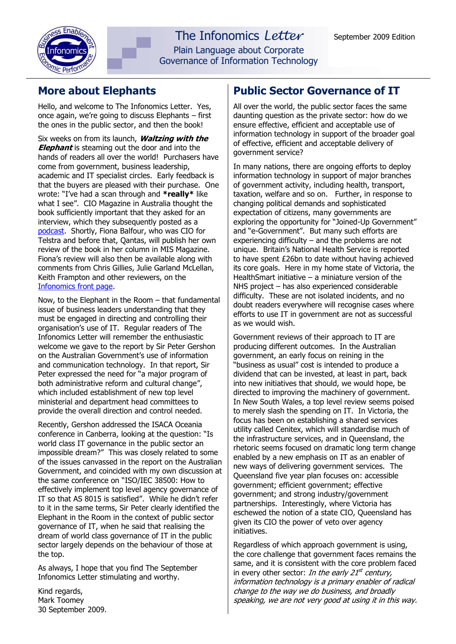

# **More about Elephants**

Hello, and welcome to The Infonomics Letter. Yes, once again, we're going to discuss Elephants – first the ones in the public sector, and then the book!

Six weeks on from its launch, **Waltzing with the Elephant** is steaming out the door and into the hands of readers all over the world! Purchasers have come from government, business leadership, academic and IT specialist circles. Early feedback is that the buyers are pleased with their purchase. One wrote: "I've had a scan through and **\*really\*** like what I see". CIO Magazine in Australia thought the book sufficiently important that they asked for an interview, which they subsequently posted as a [podcast.](http://www.cio.com.au/index.php/id;390271791) Shortly, Fiona Balfour, who was CIO for Telstra and before that, Qantas, will publish her own review of the book in her column in MIS Magazine. Fiona's review will also then be available along with comments from Chris Gillies, Julie Garland McLellan, Keith Frampton and other reviewers, on the [Infonomics front page.](http://www.infonomics.com.au/)

Now, to the Elephant in the Room – that fundamental issue of business leaders understanding that they must be engaged in directing and controlling their organisation's use of IT. Regular readers of The Infonomics Letter will remember the enthusiastic welcome we gave to the report by Sir Peter Gershon on the Australian Government's use of information and communication technology. In that report, Sir Peter expressed the need for "a major program of both administrative reform and cultural change", which included establishment of new top level ministerial and department head committees to provide the overall direction and control needed.

Recently, Gershon addressed the ISACA Oceania conference in Canberra, looking at the question: "Is world class IT governance in the public sector an impossible dream?" This was closely related to some of the issues canvassed in the report on the Australian Government, and coincided with my own discussion at the same conference on "ISO/IEC 38500: How to effectively implement top level agency governance of IT so that AS 8015 is satisfied". While he didn't refer to it in the same terms, Sir Peter clearly identified the Elephant in the Room in the context of public sector governance of IT, when he said that realising the dream of world class governance of IT in the public sector largely depends on the behaviour of those at the top.

As always, I hope that you find The September Infonomics Letter stimulating and worthy.

Kind regards, Mark Toomey 30 September 2009.

## **Public Sector Governance of IT**

All over the world, the public sector faces the same daunting question as the private sector: how do we ensure effective, efficient and acceptable use of information technology in support of the broader goal of effective, efficient and acceptable delivery of government service?

In many nations, there are ongoing efforts to deploy information technology in support of major branches of government activity, including health, transport, taxation, welfare and so on. Further, in response to changing political demands and sophisticated expectation of citizens, many governments are exploring the opportunity for "Joined-Up Government" and "e-Government". But many such efforts are experiencing difficulty – and the problems are not unique. Britain's National Health Service is reported to have spent £26bn to date without having achieved its core goals. Here in my home state of Victoria, the HealthSmart initiative – a miniature version of the NHS project – has also experienced considerable difficulty. These are not isolated incidents, and no doubt readers everywhere will recognise cases where efforts to use IT in government are not as successful as we would wish.

Government reviews of their approach to IT are producing different outcomes. In the Australian government, an early focus on reining in the "business as usual" cost is intended to produce a dividend that can be invested, at least in part, back into new initiatives that should, we would hope, be directed to improving the machinery of government. In New South Wales, a top level review seems poised to merely slash the spending on IT. In Victoria, the focus has been on establishing a shared services utility called Cenitex, which will standardise much of the infrastructure services, and in Queensland, the rhetoric seems focused on dramatic long term change enabled by a new emphasis on IT as an enabler of new ways of delivering government services. The Queensland five year plan focuses on: accessible government; efficient government; effective government; and strong industry/government partnerships. Interestingly, where Victoria has eschewed the notion of a state CIO, Queensland has given its CIO the power of veto over agency initiatives.

Regardless of which approach government is using, the core challenge that government faces remains the same, and it is consistent with the core problem faced in every other sector: In the early 21<sup>st</sup> century, information technology is a primary enabler of radical change to the way we do business, and broadly speaking, we are not very good at using it in this way.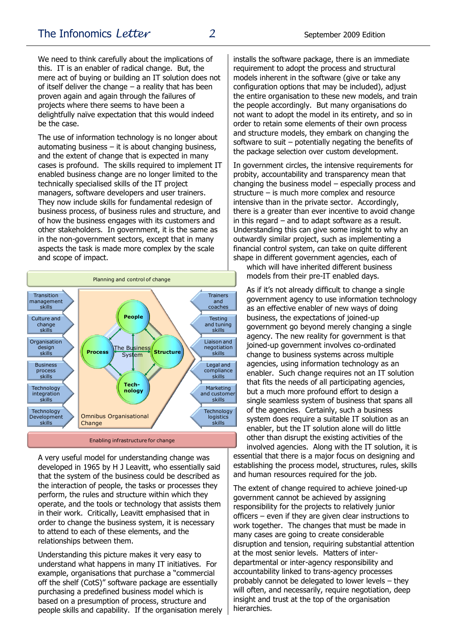We need to think carefully about the implications of this. IT is an enabler of radical change. But, the mere act of buying or building an IT solution does not of itself deliver the change  $-$  a reality that has been proven again and again through the failures of projects where there seems to have been a delightfully naïve expectation that this would indeed be the case.

The use of information technology is no longer about automating business  $-$  it is about changing business, and the extent of change that is expected in many cases is profound. The skills required to implement IT enabled business change are no longer limited to the technically specialised skills of the IT project managers, software developers and user trainers. They now include skills for fundamental redesign of business process, of business rules and structure, and of how the business engages with its customers and other stakeholders. In government, it is the same as in the non-government sectors, except that in many aspects the task is made more complex by the scale and scope of impact.



Enabling infrastructure for change

A very useful model for understanding change was developed in 1965 by H J Leavitt, who essentially said that the system of the business could be described as the interaction of people, the tasks or processes they perform, the rules and structure within which they operate, and the tools or technology that assists them in their work. Critically, Leavitt emphasised that in order to change the business system, it is necessary to attend to each of these elements, and the relationships between them.

Understanding this picture makes it very easy to understand what happens in many IT initiatives. For example, organisations that purchase a "commercial off the shelf (CotS)" software package are essentially purchasing a predefined business model which is based on a presumption of process, structure and people skills and capability. If the organisation merely

installs the software package, there is an immediate requirement to adopt the process and structural models inherent in the software (give or take any configuration options that may be included), adjust the entire organisation to these new models, and train the people accordingly. But many organisations do not want to adopt the model in its entirety, and so in order to retain some elements of their own process and structure models, they embark on changing the software to suit – potentially negating the benefits of the package selection over custom development.

In government circles, the intensive requirements for probity, accountability and transparency mean that changing the business model – especially process and structure – is much more complex and resource intensive than in the private sector. Accordingly, there is a greater than ever incentive to avoid change in this regard – and to adapt software as a result. Understanding this can give some insight to why an outwardly similar project, such as implementing a financial control system, can take on quite different shape in different government agencies, each of

which will have inherited different business models from their pre-IT enabled days.

As if it's not already difficult to change a single government agency to use information technology as an effective enabler of new ways of doing business, the expectations of joined-up government go beyond merely changing a single agency. The new reality for government is that joined-up government involves co-ordinated change to business systems across multiple agencies, using information technology as an enabler. Such change requires not an IT solution that fits the needs of all participating agencies, but a much more profound effort to design a single seamless system of business that spans all of the agencies. Certainly, such a business system does require a suitable IT solution as an enabler, but the IT solution alone will do little other than disrupt the existing activities of the

involved agencies. Along with the IT solution, it is essential that there is a major focus on designing and establishing the process model, structures, rules, skills and human resources required for the job.

The extent of change required to achieve joined-up government cannot be achieved by assigning responsibility for the projects to relatively junior officers – even if they are given clear instructions to work together. The changes that must be made in many cases are going to create considerable disruption and tension, requiring substantial attention at the most senior levels. Matters of interdepartmental or inter-agency responsibility and accountability linked to trans-agency processes probably cannot be delegated to lower levels – they will often, and necessarily, require negotiation, deep insight and trust at the top of the organisation hierarchies.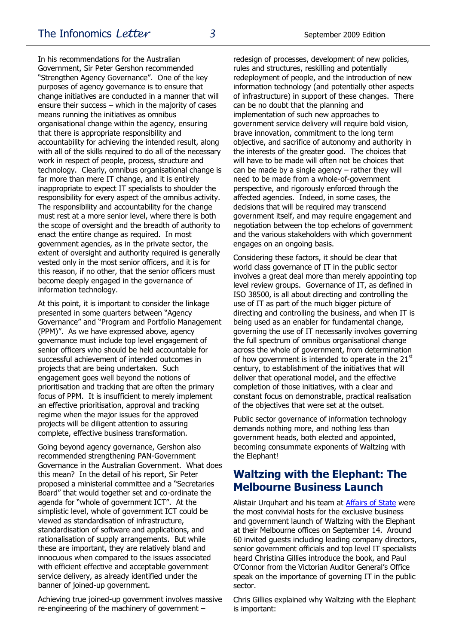In his recommendations for the Australian Government, Sir Peter Gershon recommended "Strengthen Agency Governance". One of the key purposes of agency governance is to ensure that change initiatives are conducted in a manner that will ensure their success – which in the majority of cases means running the initiatives as omnibus organisational change within the agency, ensuring that there is appropriate responsibility and accountability for achieving the intended result, along with all of the skills required to do all of the necessary work in respect of people, process, structure and technology. Clearly, omnibus organisational change is far more than mere IT change, and it is entirely inappropriate to expect IT specialists to shoulder the responsibility for every aspect of the omnibus activity. The responsibility and accountability for the change must rest at a more senior level, where there is both the scope of oversight and the breadth of authority to enact the entire change as required. In most government agencies, as in the private sector, the extent of oversight and authority required is generally vested only in the most senior officers, and it is for this reason, if no other, that the senior officers must become deeply engaged in the governance of information technology.

At this point, it is important to consider the linkage presented in some quarters between "Agency Governance" and "Program and Portfolio Management (PPM)". As we have expressed above, agency governance must include top level engagement of senior officers who should be held accountable for successful achievement of intended outcomes in projects that are being undertaken. Such engagement goes well beyond the notions of prioritisation and tracking that are often the primary focus of PPM. It is insufficient to merely implement an effective prioritisation, approval and tracking regime when the major issues for the approved projects will be diligent attention to assuring complete, effective business transformation.

Going beyond agency governance, Gershon also recommended strengthening PAN-Government Governance in the Australian Government. What does this mean? In the detail of his report, Sir Peter proposed a ministerial committee and a "Secretaries Board" that would together set and co-ordinate the agenda for "whole of government ICT". At the simplistic level, whole of government ICT could be viewed as standardisation of infrastructure, standardisation of software and applications, and rationalisation of supply arrangements. But while these are important, they are relatively bland and innocuous when compared to the issues associated with efficient effective and acceptable government service delivery, as already identified under the banner of joined-up government.

Achieving true joined-up government involves massive re-engineering of the machinery of government –

redesign of processes, development of new policies, rules and structures, reskilling and potentially redeployment of people, and the introduction of new information technology (and potentially other aspects of infrastructure) in support of these changes. There can be no doubt that the planning and implementation of such new approaches to government service delivery will require bold vision, brave innovation, commitment to the long term objective, and sacrifice of autonomy and authority in the interests of the greater good. The choices that will have to be made will often not be choices that can be made by a single agency  $-$  rather they will need to be made from a whole-of-government perspective, and rigorously enforced through the affected agencies. Indeed, in some cases, the decisions that will be required may transcend government itself, and may require engagement and negotiation between the top echelons of government and the various stakeholders with which government engages on an ongoing basis.

Considering these factors, it should be clear that world class governance of IT in the public sector involves a great deal more than merely appointing top level review groups. Governance of IT, as defined in ISO 38500, is all about directing and controlling the use of IT as part of the much bigger picture of directing and controlling the business, and when IT is being used as an enabler for fundamental change, governing the use of IT necessarily involves governing the full spectrum of omnibus organisational change across the whole of government, from determination of how government is intended to operate in the  $21<sup>st</sup>$ century, to establishment of the initiatives that will deliver that operational model, and the effective completion of those initiatives, with a clear and constant focus on demonstrable, practical realisation of the objectives that were set at the outset.

Public sector governance of information technology demands nothing more, and nothing less than government heads, both elected and appointed, becoming consummate exponents of Waltzing with the Elephant!

## **Waltzing with the Elephant: The Melbourne Business Launch**

Alistair Urquhart and his team at [Affairs of State](http://www.affairs.com.au/) were the most convivial hosts for the exclusive business and government launch of Waltzing with the Elephant at their Melbourne offices on September 14. Around 60 invited guests including leading company directors, senior government officials and top level IT specialists heard Christina Gillies introduce the book, and Paul O'Connor from the Victorian Auditor General's Office speak on the importance of governing IT in the public sector.

Chris Gillies explained why Waltzing with the Elephant is important: